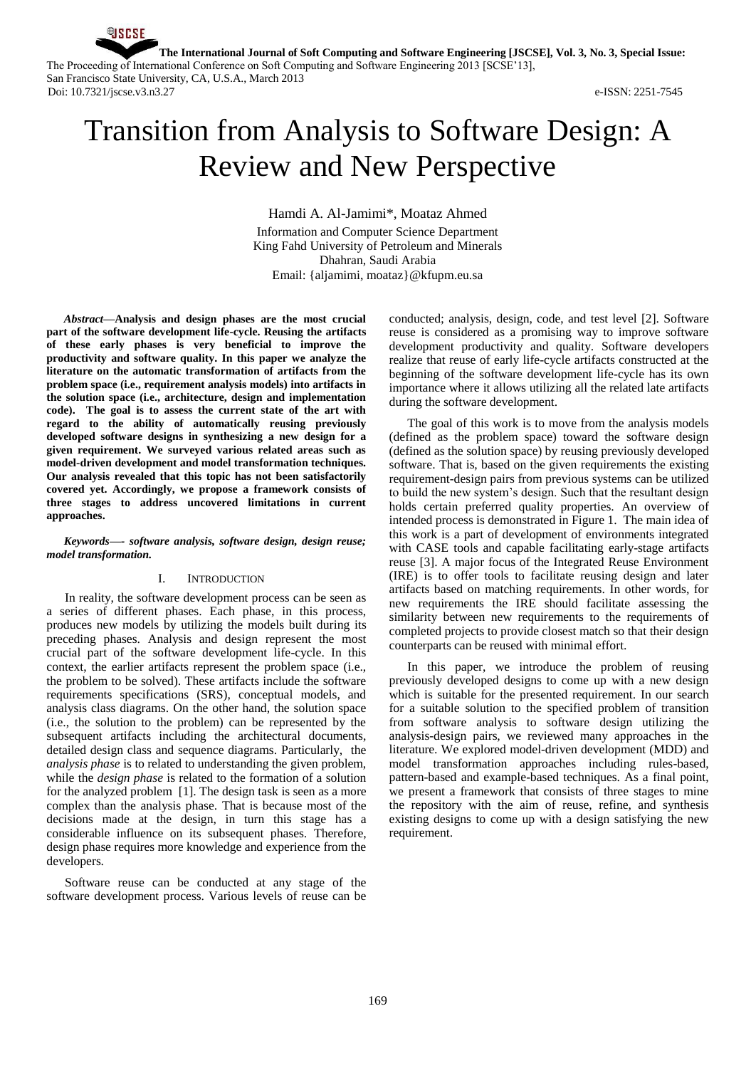# Transition from Analysis to Software Design: A Review and New Perspective

Hamdi A. Al-Jamimi\*, Moataz Ahmed Information and Computer Science Department King Fahd University of Petroleum and Minerals Dhahran, Saudi Arabia Email: {aljamimi, moataz}@kfupm.eu.sa

*Abstract***—Analysis and design phases are the most crucial part of the software development life-cycle. Reusing the artifacts of these early phases is very beneficial to improve the productivity and software quality. In this paper we analyze the literature on the automatic transformation of artifacts from the problem space (i.e., requirement analysis models) into artifacts in the solution space (i.e., architecture, design and implementation code). The goal is to assess the current state of the art with regard to the ability of automatically reusing previously developed software designs in synthesizing a new design for a given requirement. We surveyed various related areas such as model-driven development and model transformation techniques. Our analysis revealed that this topic has not been satisfactorily covered yet. Accordingly, we propose a framework consists of three stages to address uncovered limitations in current approaches.**

## *Keywords—- software analysis, software design, design reuse; model transformation.*

## I. INTRODUCTION

In reality, the software development process can be seen as a series of different phases. Each phase, in this process, produces new models by utilizing the models built during its preceding phases. Analysis and design represent the most crucial part of the software development life-cycle. In this context, the earlier artifacts represent the problem space (i.e., the problem to be solved). These artifacts include the software requirements specifications (SRS), conceptual models, and analysis class diagrams. On the other hand, the solution space (i.e., the solution to the problem) can be represented by the subsequent artifacts including the architectural documents, detailed design class and sequence diagrams. Particularly, the *analysis phase* is to related to understanding the given problem, while the *design phase* is related to the formation of a solution for the analyzed problem [\[1\]](#page-5-0). The design task is seen as a more complex than the analysis phase. That is because most of the decisions made at the design, in turn this stage has a considerable influence on its subsequent phases. Therefore, design phase requires more knowledge and experience from the developers.

Software reuse can be conducted at any stage of the software development process. Various levels of reuse can be conducted; analysis, design, code, and test level [\[2\]](#page-5-1). Software reuse is considered as a promising way to improve software development productivity and quality. Software developers realize that reuse of early life-cycle artifacts constructed at the beginning of the software development life-cycle has its own importance where it allows utilizing all the related late artifacts during the software development.

The goal of this work is to move from the analysis models (defined as the problem space) toward the software design (defined as the solution space) by reusing previously developed software. That is, based on the given requirements the existing requirement-design pairs from previous systems can be utilized to build the new system's design. Such that the resultant design holds certain preferred quality properties. An overview of intended process is demonstrated in Figure 1. The main idea of this work is a part of development of environments integrated with CASE tools and capable facilitating early-stage artifacts reuse [\[3\]](#page-5-2). A major focus of the Integrated Reuse Environment (IRE) is to offer tools to facilitate reusing design and later artifacts based on matching requirements. In other words, for new requirements the IRE should facilitate assessing the similarity between new requirements to the requirements of completed projects to provide closest match so that their design counterparts can be reused with minimal effort.

In this paper, we introduce the problem of reusing previously developed designs to come up with a new design which is suitable for the presented requirement. In our search for a suitable solution to the specified problem of transition from software analysis to software design utilizing the analysis-design pairs, we reviewed many approaches in the literature. We explored model-driven development (MDD) and model transformation approaches including rules-based, pattern-based and example-based techniques. As a final point, we present a framework that consists of three stages to mine the repository with the aim of reuse, refine, and synthesis existing designs to come up with a design satisfying the new requirement.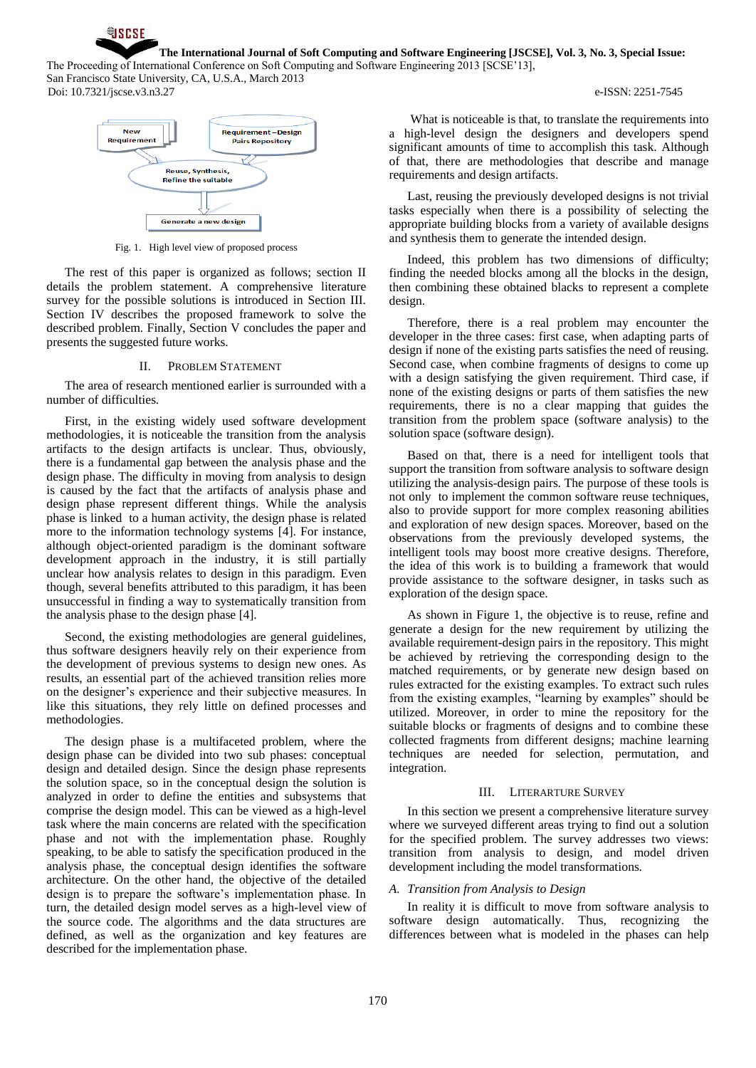The Proceeding of International Conference on Soft Computing and Software Engineering 2013 [SCSE'13], San Francisco State University, CA, U.S.A., March 2013

Doi: 10.7321/jscse.v3.n3.27 e-ISSN: 2251-7545

**QISCSE** 



Fig. 1. High level view of proposed process

The rest of this paper is organized as follows; section II details the problem statement. A comprehensive literature survey for the possible solutions is introduced in Section III. Section IV describes the proposed framework to solve the described problem. Finally, Section V concludes the paper and presents the suggested future works.

# II. PROBLEM STATEMENT

The area of research mentioned earlier is surrounded with a number of difficulties.

First, in the existing widely used software development methodologies, it is noticeable the transition from the analysis artifacts to the design artifacts is unclear. Thus, obviously, there is a fundamental gap between the analysis phase and the design phase. The difficulty in moving from analysis to design is caused by the fact that the artifacts of analysis phase and design phase represent different things. While the analysis phase is linked to a human activity, the design phase is related more to the information technology systems [\[4\]](#page-5-3). For instance, although object-oriented paradigm is the dominant software development approach in the industry, it is still partially unclear how analysis relates to design in this paradigm. Even though, several benefits attributed to this paradigm, it has been unsuccessful in finding a way to systematically transition from the analysis phase to the design phase [\[4\]](#page-5-3).

Second, the existing methodologies are general guidelines, thus software designers heavily rely on their experience from the development of previous systems to design new ones. As results, an essential part of the achieved transition relies more on the designer's experience and their subjective measures. In like this situations, they rely little on defined processes and methodologies.

The design phase is a multifaceted problem, where the design phase can be divided into two sub phases: conceptual design and detailed design. Since the design phase represents the solution space, so in the conceptual design the solution is analyzed in order to define the entities and subsystems that comprise the design model. This can be viewed as a high-level task where the main concerns are related with the specification phase and not with the implementation phase. Roughly speaking, to be able to satisfy the specification produced in the analysis phase, the conceptual design identifies the software architecture. On the other hand, the objective of the detailed design is to prepare the software's implementation phase. In turn, the detailed design model serves as a high-level view of the source code. The algorithms and the data structures are defined, as well as the organization and key features are described for the implementation phase.

What is noticeable is that, to translate the requirements into a high-level design the designers and developers spend significant amounts of time to accomplish this task. Although of that, there are methodologies that describe and manage requirements and design artifacts.

Last, reusing the previously developed designs is not trivial tasks especially when there is a possibility of selecting the appropriate building blocks from a variety of available designs and synthesis them to generate the intended design.

Indeed, this problem has two dimensions of difficulty; finding the needed blocks among all the blocks in the design, then combining these obtained blacks to represent a complete design.

Therefore, there is a real problem may encounter the developer in the three cases: first case, when adapting parts of design if none of the existing parts satisfies the need of reusing. Second case, when combine fragments of designs to come up with a design satisfying the given requirement. Third case, if none of the existing designs or parts of them satisfies the new requirements, there is no a clear mapping that guides the transition from the problem space (software analysis) to the solution space (software design).

Based on that, there is a need for intelligent tools that support the transition from software analysis to software design utilizing the analysis-design pairs. The purpose of these tools is not only to implement the common software reuse techniques, also to provide support for more complex reasoning abilities and exploration of new design spaces. Moreover, based on the observations from the previously developed systems, the intelligent tools may boost more creative designs. Therefore, the idea of this work is to building a framework that would provide assistance to the software designer, in tasks such as exploration of the design space.

As shown in Figure 1, the objective is to reuse, refine and generate a design for the new requirement by utilizing the available requirement-design pairs in the repository. This might be achieved by retrieving the corresponding design to the matched requirements, or by generate new design based on rules extracted for the existing examples. To extract such rules from the existing examples, "learning by examples" should be utilized. Moreover, in order to mine the repository for the suitable blocks or fragments of designs and to combine these collected fragments from different designs; machine learning techniques are needed for selection, permutation, and integration.

## III. LITERARTURE SURVEY

In this section we present a comprehensive literature survey where we surveyed different areas trying to find out a solution for the specified problem. The survey addresses two views: transition from analysis to design, and model driven development including the model transformations.

### *A. Transition from Analysis to Design*

In reality it is difficult to move from software analysis to software design automatically. Thus, recognizing the differences between what is modeled in the phases can help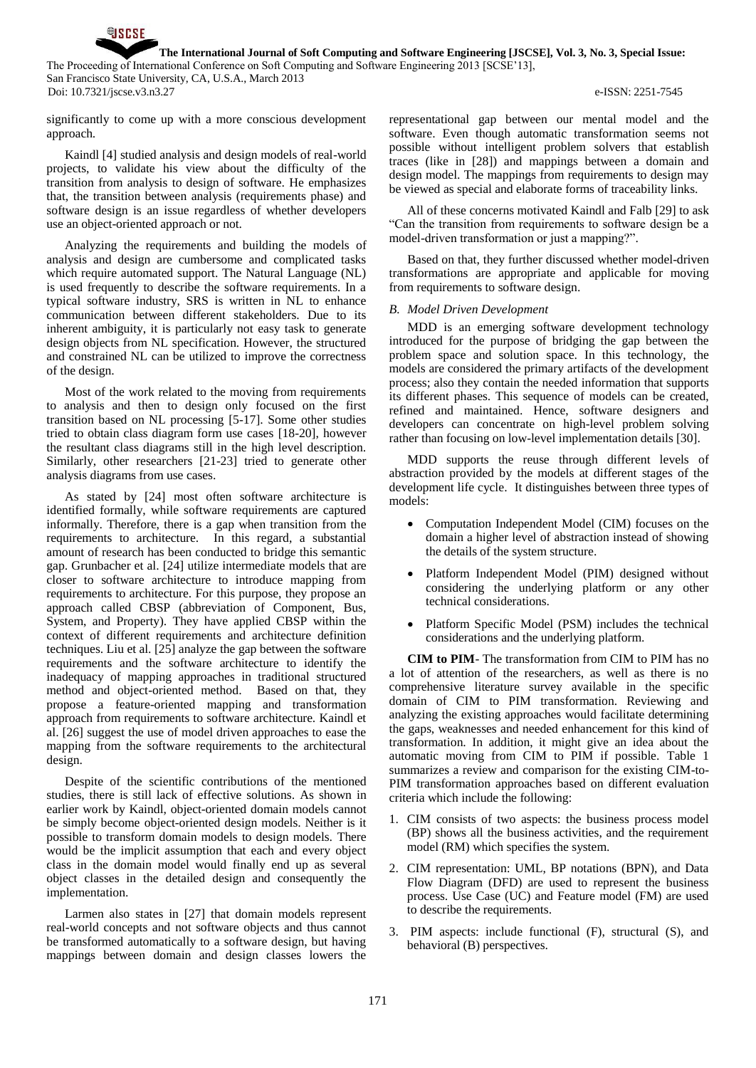The Proceeding of International Conference on Soft Computing and Software Engineering 2013 [SCSE'13], San Francisco State University, CA, U.S.A., March 2013 Doi: 10.7321/jscse.v3.n3.27 e-ISSN: 2251-7545

significantly to come up with a more conscious development approach.

**QISCSE** 

Kaindl [4] studied analysis and design models of real-world projects, to validate his view about the difficulty of the transition from analysis to design of software. He emphasizes that, the transition between analysis (requirements phase) and software design is an issue regardless of whether developers use an object-oriented approach or not.

Analyzing the requirements and building the models of analysis and design are cumbersome and complicated tasks which require automated support. The Natural Language (NL) is used frequently to describe the software requirements. In a typical software industry, SRS is written in NL to enhance communication between different stakeholders. Due to its inherent ambiguity, it is particularly not easy task to generate design objects from NL specification. However, the structured and constrained NL can be utilized to improve the correctness of the design.

Most of the work related to the moving from requirements to analysis and then to design only focused on the first transition based on NL processing [\[5-17\]](#page-5-4). Some other studies tried to obtain class diagram form use cases [\[18-20\]](#page-6-0), however the resultant class diagrams still in the high level description. Similarly, other researchers [\[21-23\]](#page-6-1) tried to generate other analysis diagrams from use cases.

As stated by [\[24\]](#page-6-2) most often software architecture is identified formally, while software requirements are captured informally. Therefore, there is a gap when transition from the requirements to architecture. In this regard, a substantial amount of research has been conducted to bridge this semantic gap. Grunbacher et al. [\[24\]](#page-6-2) utilize intermediate models that are closer to software architecture to introduce mapping from requirements to architecture. For this purpose, they propose an approach called CBSP (abbreviation of Component, Bus, System, and Property). They have applied CBSP within the context of different requirements and architecture definition techniques. Liu et al. [\[25\]](#page-6-3) analyze the gap between the software requirements and the software architecture to identify the inadequacy of mapping approaches in traditional structured method and object-oriented method. Based on that, they propose a feature-oriented mapping and transformation approach from requirements to software architecture. Kaindl et al. [\[26\]](#page-6-4) suggest the use of model driven approaches to ease the mapping from the software requirements to the architectural design.

Despite of the scientific contributions of the mentioned studies, there is still lack of effective solutions. As shown in earlier work by Kaindl, object-oriented domain models cannot be simply become object-oriented design models. Neither is it possible to transform domain models to design models. There would be the implicit assumption that each and every object class in the domain model would finally end up as several object classes in the detailed design and consequently the implementation.

Larmen also states in [\[27\]](#page-6-5) that domain models represent real-world concepts and not software objects and thus cannot be transformed automatically to a software design, but having mappings between domain and design classes lowers the

representational gap between our mental model and the software. Even though automatic transformation seems not possible without intelligent problem solvers that establish traces (like in [\[28\]](#page-6-6)) and mappings between a domain and design model. The mappings from requirements to design may be viewed as special and elaborate forms of traceability links.

All of these concerns motivated Kaindl and Falb [\[29\]](#page-6-7) to ask "Can the transition from requirements to software design be a model-driven transformation or just a mapping?".

Based on that, they further discussed whether model-driven transformations are appropriate and applicable for moving from requirements to software design.

# *B. Model Driven Development*

MDD is an emerging software development technology introduced for the purpose of bridging the gap between the problem space and solution space. In this technology, the models are considered the primary artifacts of the development process; also they contain the needed information that supports its different phases. This sequence of models can be created, refined and maintained. Hence, software designers and developers can concentrate on high-level problem solving rather than focusing on low-level implementation details [\[30\]](#page-6-8).

MDD supports the reuse through different levels of abstraction provided by the models at different stages of the development life cycle. It distinguishes between three types of models:

- Computation Independent Model (CIM) focuses on the domain a higher level of abstraction instead of showing the details of the system structure.
- Platform Independent Model (PIM) designed without considering the underlying platform or any other technical considerations.
- Platform Specific Model (PSM) includes the technical considerations and the underlying platform.

**CIM to PIM**- The transformation from CIM to PIM has no a lot of attention of the researchers, as well as there is no comprehensive literature survey available in the specific domain of CIM to PIM transformation. Reviewing and analyzing the existing approaches would facilitate determining the gaps, weaknesses and needed enhancement for this kind of transformation. In addition, it might give an idea about the automatic moving from CIM to PIM if possible. Table 1 summarizes a review and comparison for the existing CIM-to-PIM transformation approaches based on different evaluation criteria which include the following:

- 1. CIM consists of two aspects: the business process model (BP) shows all the business activities, and the requirement model (RM) which specifies the system.
- 2. CIM representation: UML, BP notations (BPN), and Data Flow Diagram (DFD) are used to represent the business process. Use Case (UC) and Feature model (FM) are used to describe the requirements.
- 3. PIM aspects: include functional (F), structural (S), and behavioral (B) perspectives.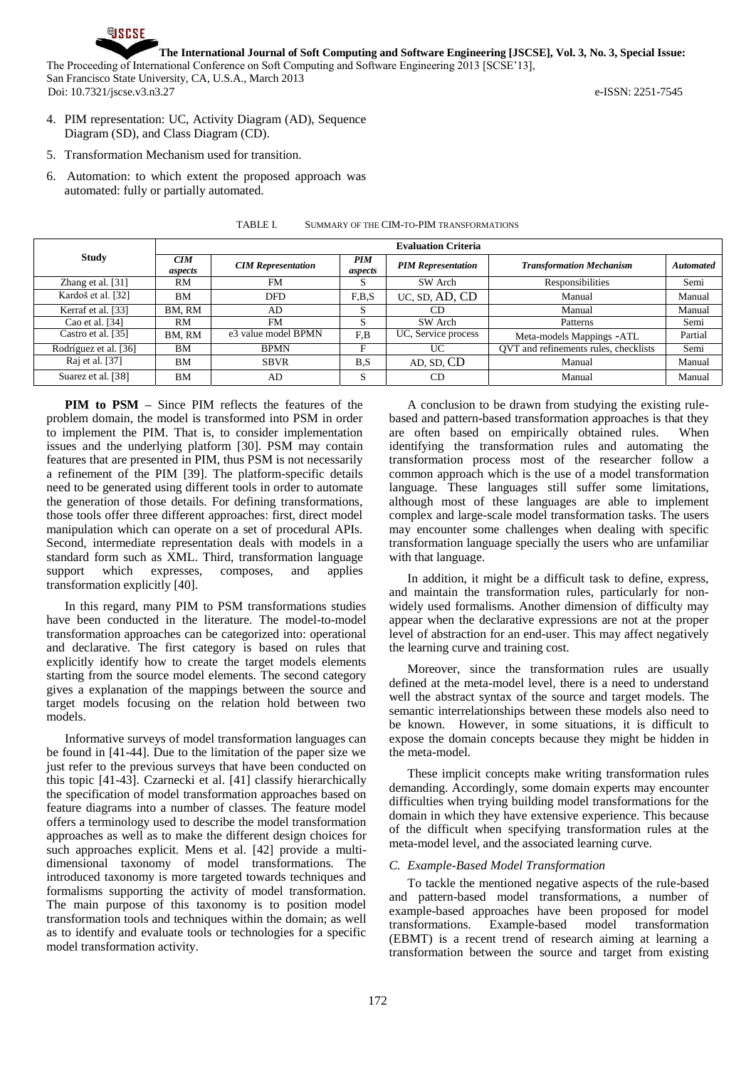The Proceeding of International Conference on Soft Computing and Software Engineering 2013 [SCSE'13], San Francisco State University, CA, U.S.A., March 2013 Doi: 10.7321/jscse.v3.n3.27 e-ISSN: 2251-7545

- 4. PIM representation: UC, Activity Diagram (AD), Sequence Diagram (SD), and Class Diagram (CD).
- 5. Transformation Mechanism used for transition.

**QISCSE** 

6. Automation: to which extent the proposed approach was automated: fully or partially automated.

| <b>Study</b>          | <b>Evaluation Criteria</b> |                           |                |                           |                                       |                  |
|-----------------------|----------------------------|---------------------------|----------------|---------------------------|---------------------------------------|------------------|
|                       | <b>CIM</b><br>aspects      | <b>CIM Representation</b> | PIM<br>aspects | <b>PIM Representation</b> | <b>Transformation Mechanism</b>       | <b>Automated</b> |
| Zhang et al. [31]     | RM                         | <b>FM</b>                 | S              | SW Arch                   | Responsibilities                      | Semi             |
| Kardoš et al. [32]    | BМ                         | <b>DFD</b>                | F.B.S          | UC, SD, AD, CD            | Manual                                | Manual           |
| Kerraf et al. [33]    | BM. RM                     | AD                        | S              | CD                        | Manual                                | Manual           |
| Cao et al. [34]       | RM                         | <b>FM</b>                 | S              | SW Arch                   | Patterns                              | Semi             |
| Castro et al. [35]    | BM. RM                     | e3 value model BPMN       | F.B            | UC, Service process       | Meta-models Mappings -ATL             | Partial          |
| Rodríguez et al. [36] | BM                         | <b>BPMN</b>               | E              | UC                        | OVT and refinements rules, checklists | Semi             |
| Raj et al. [37]       | BM                         | <b>SBVR</b>               | B.S            | AD, SD, CD                | Manual                                | Manual           |
| Suarez et al. [38]    | BM                         | AD                        | S              | CD <sub>1</sub>           | Manual                                | Manual           |

TABLE I. SUMMARY OF THE CIM-TO-PIM TRANSFORMATIONS

**PIM to PSM –** Since PIM reflects the features of the problem domain, the model is transformed into PSM in order to implement the PIM. That is, to consider implementation issues and the underlying platform [\[30\]](#page-6-8). PSM may contain features that are presented in PIM, thus PSM is not necessarily a refinement of the PIM [\[39\]](#page-6-17). The platform-specific details need to be generated using different tools in order to automate the generation of those details. For defining transformations, those tools offer three different approaches: first, direct model manipulation which can operate on a set of procedural APIs. Second, intermediate representation deals with models in a standard form such as XML. Third, transformation language support which expresses, composes, and applies transformation explicitly [\[40\]](#page-6-18).

In this regard, many PIM to PSM transformations studies have been conducted in the literature. The model-to-model transformation approaches can be categorized into: operational and declarative. The first category is based on rules that explicitly identify how to create the target models elements starting from the source model elements. The second category gives a explanation of the mappings between the source and target models focusing on the relation hold between two models.

Informative surveys of model transformation languages can be found in [\[41-44\]](#page-6-19). Due to the limitation of the paper size we just refer to the previous surveys that have been conducted on this topic [\[41-43\]](#page-6-19). Czarnecki et al. [\[41\]](#page-6-19) classify hierarchically the specification of model transformation approaches based on feature diagrams into a number of classes. The feature model offers a terminology used to describe the model transformation approaches as well as to make the different design choices for such approaches explicit. Mens et al. [\[42\]](#page-6-20) provide a multidimensional taxonomy of model transformations. The introduced taxonomy is more targeted towards techniques and formalisms supporting the activity of model transformation. The main purpose of this taxonomy is to position model transformation tools and techniques within the domain; as well as to identify and evaluate tools or technologies for a specific model transformation activity.

A conclusion to be drawn from studying the existing rulebased and pattern-based transformation approaches is that they are often based on empirically obtained rules. When identifying the transformation rules and automating the transformation process most of the researcher follow a common approach which is the use of a model transformation language. These languages still suffer some limitations, although most of these languages are able to implement complex and large-scale model transformation tasks. The users may encounter some challenges when dealing with specific transformation language specially the users who are unfamiliar with that language.

In addition, it might be a difficult task to define, express, and maintain the transformation rules, particularly for nonwidely used formalisms. Another dimension of difficulty may appear when the declarative expressions are not at the proper level of abstraction for an end-user. This may affect negatively the learning curve and training cost.

Moreover, since the transformation rules are usually defined at the meta-model level, there is a need to understand well the abstract syntax of the source and target models. The semantic interrelationships between these models also need to be known. However, in some situations, it is difficult to expose the domain concepts because they might be hidden in the meta-model.

These implicit concepts make writing transformation rules demanding. Accordingly, some domain experts may encounter difficulties when trying building model transformations for the domain in which they have extensive experience. This because of the difficult when specifying transformation rules at the meta-model level, and the associated learning curve.

## *C. Example-Based Model Transformation*

To tackle the mentioned negative aspects of the rule-based and pattern-based model transformations, a number of example-based approaches have been proposed for model transformations. Example-based model transformation (EBMT) is a recent trend of research aiming at learning a transformation between the source and target from existing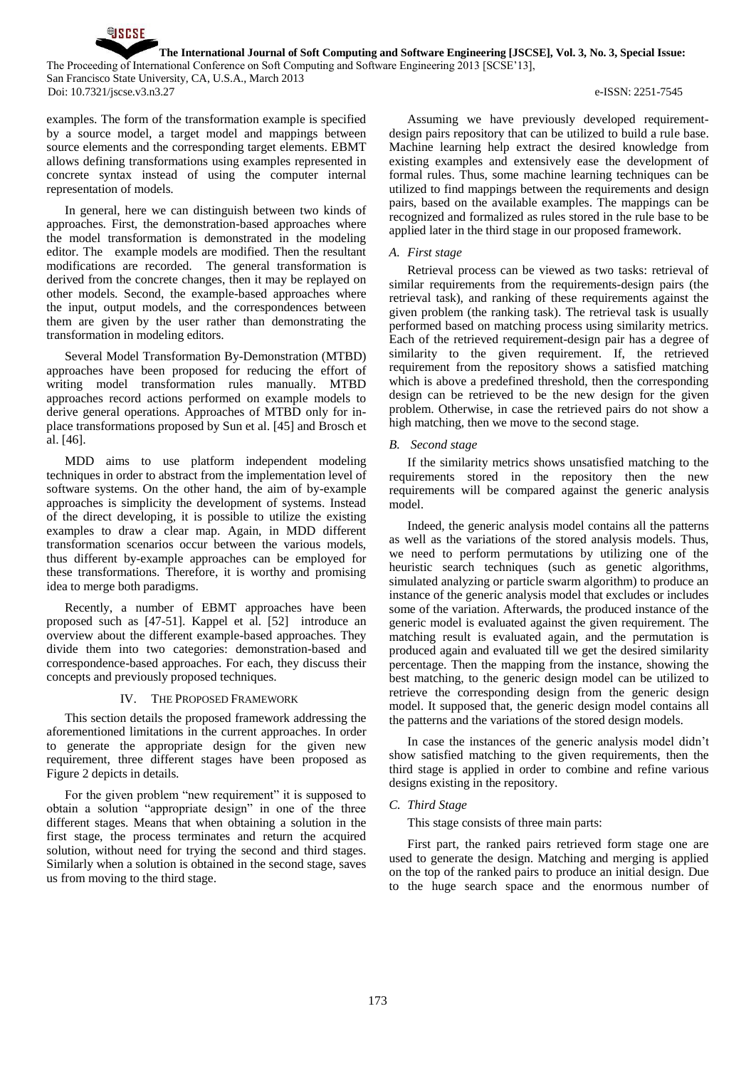The Proceeding of International Conference on Soft Computing and Software Engineering 2013 [SCSE'13], San Francisco State University, CA, U.S.A., March 2013 Doi: 10.7321/jscse.v3.n3.27 e-ISSN: 2251-7545

examples. The form of the transformation example is specified by a source model, a target model and mappings between source elements and the corresponding target elements. EBMT allows defining transformations using examples represented in concrete syntax instead of using the computer internal representation of models.

**QISCSE** 

In general, here we can distinguish between two kinds of approaches. First, the demonstration-based approaches where the model transformation is demonstrated in the modeling editor. The example models are modified. Then the resultant modifications are recorded. The general transformation is derived from the concrete changes, then it may be replayed on other models. Second, the example-based approaches where the input, output models, and the correspondences between them are given by the user rather than demonstrating the transformation in modeling editors.

Several Model Transformation By-Demonstration (MTBD) approaches have been proposed for reducing the effort of writing model transformation rules manually. MTBD approaches record actions performed on example models to derive general operations. Approaches of MTBD only for inplace transformations proposed by Sun et al. [\[45\]](#page-6-21) and Brosch et al. [\[46\]](#page-6-22).

MDD aims to use platform independent modeling techniques in order to abstract from the implementation level of software systems. On the other hand, the aim of by-example approaches is simplicity the development of systems. Instead of the direct developing, it is possible to utilize the existing examples to draw a clear map. Again, in MDD different transformation scenarios occur between the various models, thus different by-example approaches can be employed for these transformations. Therefore, it is worthy and promising idea to merge both paradigms.

Recently, a number of EBMT approaches have been proposed such as [\[47-51\]](#page-7-0). Kappel et al. [\[52\]](#page-7-1) introduce an overview about the different example-based approaches. They divide them into two categories: demonstration-based and correspondence-based approaches. For each, they discuss their concepts and previously proposed techniques.

# IV. THE PROPOSED FRAMEWORK

This section details the proposed framework addressing the aforementioned limitations in the current approaches. In order to generate the appropriate design for the given new requirement, three different stages have been proposed as Figure 2 depicts in details.

For the given problem "new requirement" it is supposed to obtain a solution "appropriate design" in one of the three different stages. Means that when obtaining a solution in the first stage, the process terminates and return the acquired solution, without need for trying the second and third stages. Similarly when a solution is obtained in the second stage, saves us from moving to the third stage.

Assuming we have previously developed requirementdesign pairs repository that can be utilized to build a rule base. Machine learning help extract the desired knowledge from existing examples and extensively ease the development of formal rules. Thus, some machine learning techniques can be utilized to find mappings between the requirements and design pairs, based on the available examples. The mappings can be recognized and formalized as rules stored in the rule base to be applied later in the third stage in our proposed framework.

## *A. First stage*

Retrieval process can be viewed as two tasks: retrieval of similar requirements from the requirements-design pairs (the retrieval task), and ranking of these requirements against the given problem (the ranking task). The retrieval task is usually performed based on matching process using similarity metrics. Each of the retrieved requirement-design pair has a degree of similarity to the given requirement. If, the retrieved requirement from the repository shows a satisfied matching which is above a predefined threshold, then the corresponding design can be retrieved to be the new design for the given problem. Otherwise, in case the retrieved pairs do not show a high matching, then we move to the second stage.

## *B. Second stage*

If the similarity metrics shows unsatisfied matching to the requirements stored in the repository then the new requirements will be compared against the generic analysis model.

Indeed, the generic analysis model contains all the patterns as well as the variations of the stored analysis models. Thus, we need to perform permutations by utilizing one of the heuristic search techniques (such as genetic algorithms, simulated analyzing or particle swarm algorithm) to produce an instance of the generic analysis model that excludes or includes some of the variation. Afterwards, the produced instance of the generic model is evaluated against the given requirement. The matching result is evaluated again, and the permutation is produced again and evaluated till we get the desired similarity percentage. Then the mapping from the instance, showing the best matching, to the generic design model can be utilized to retrieve the corresponding design from the generic design model. It supposed that, the generic design model contains all the patterns and the variations of the stored design models.

In case the instances of the generic analysis model didn't show satisfied matching to the given requirements, then the third stage is applied in order to combine and refine various designs existing in the repository.

## *C. Third Stage*

This stage consists of three main parts:

First part, the ranked pairs retrieved form stage one are used to generate the design. Matching and merging is applied on the top of the ranked pairs to produce an initial design. Due to the huge search space and the enormous number of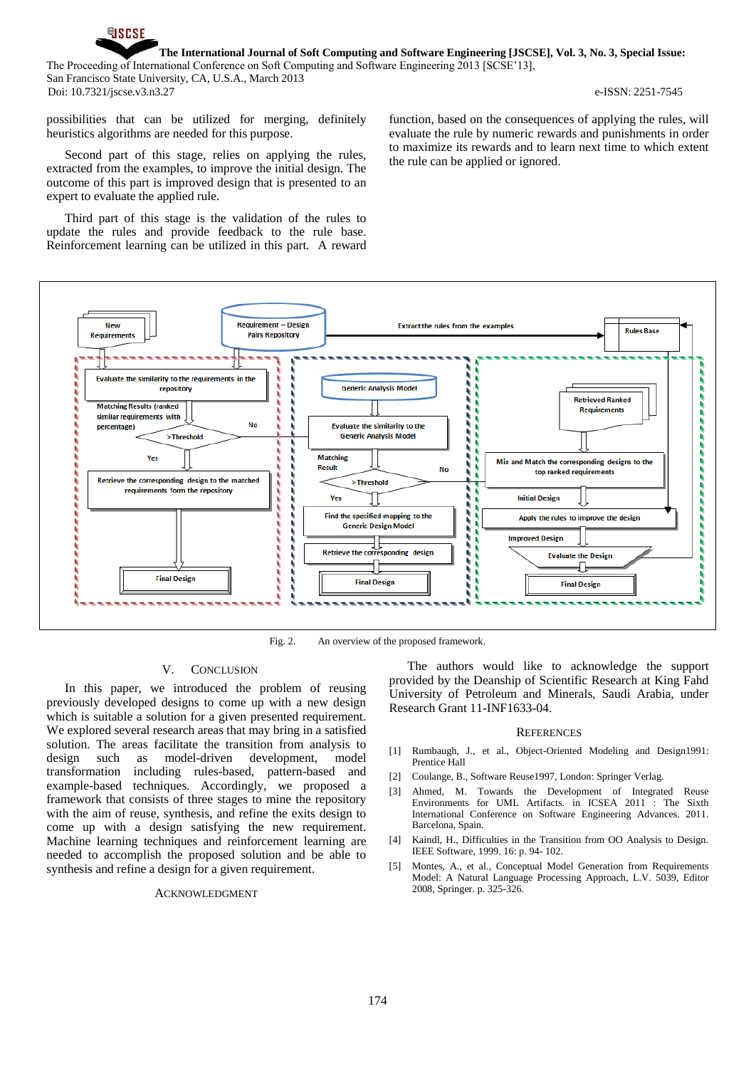

possibilities that can be utilized for merging, definitely heuristics algorithms are needed for this purpose.

Second part of this stage, relies on applying the rules, extracted from the examples, to improve the initial design. The outcome of this part is improved design that is presented to an expert to evaluate the applied rule.

Third part of this stage is the validation of the rules to update the rules and provide feedback to the rule base. Reinforcement learning can be utilized in this part. A reward function, based on the consequences of applying the rules, will evaluate the rule by numeric rewards and punishments in order to maximize its rewards and to learn next time to which extent the rule can be applied or ignored.



Fig. 2. An overview of the proposed framework.

## V. CONCLUSION

In this paper, we introduced the problem of reusing previously developed designs to come up with a new design which is suitable a solution for a given presented requirement. We explored several research areas that may bring in a satisfied solution. The areas facilitate the transition from analysis to design such as model-driven development, model transformation including rules-based, pattern-based and example-based techniques. Accordingly, we proposed a framework that consists of three stages to mine the repository with the aim of reuse, synthesis, and refine the exits design to come up with a design satisfying the new requirement. Machine learning techniques and reinforcement learning are needed to accomplish the proposed solution and be able to synthesis and refine a design for a given requirement.

# ACKNOWLEDGMENT

The authors would like to acknowledge the support provided by the Deanship of Scientific Research at King Fahd University of Petroleum and Minerals, Saudi Arabia, under Research Grant 11-INF1633-04.

#### **REFERENCES**

- <span id="page-5-0"></span>[1] Rumbaugh, J., et al., Object-Oriented Modeling and Design1991: Prentice Hall
- <span id="page-5-1"></span>[2] Coulange, B., Software Reuse1997, London: Springer Verlag.
- <span id="page-5-2"></span>[3] Ahmed, M. Towards the Development of Integrated Reuse Environments for UML Artifacts. in ICSEA 2011 : The Sixth International Conference on Software Engineering Advances. 2011. Barcelona, Spain.
- <span id="page-5-3"></span>[4] Kaindl, H., Difficulties in the Transition from OO Analysis to Design. IEEE Software, 1999. 16: p. 94- 102.
- <span id="page-5-4"></span>[5] Montes, A., et al., Conceptual Model Generation from Requirements Model: A Natural Language Processing Approach, L.V. 5039, Editor 2008, Springer. p. 325-326.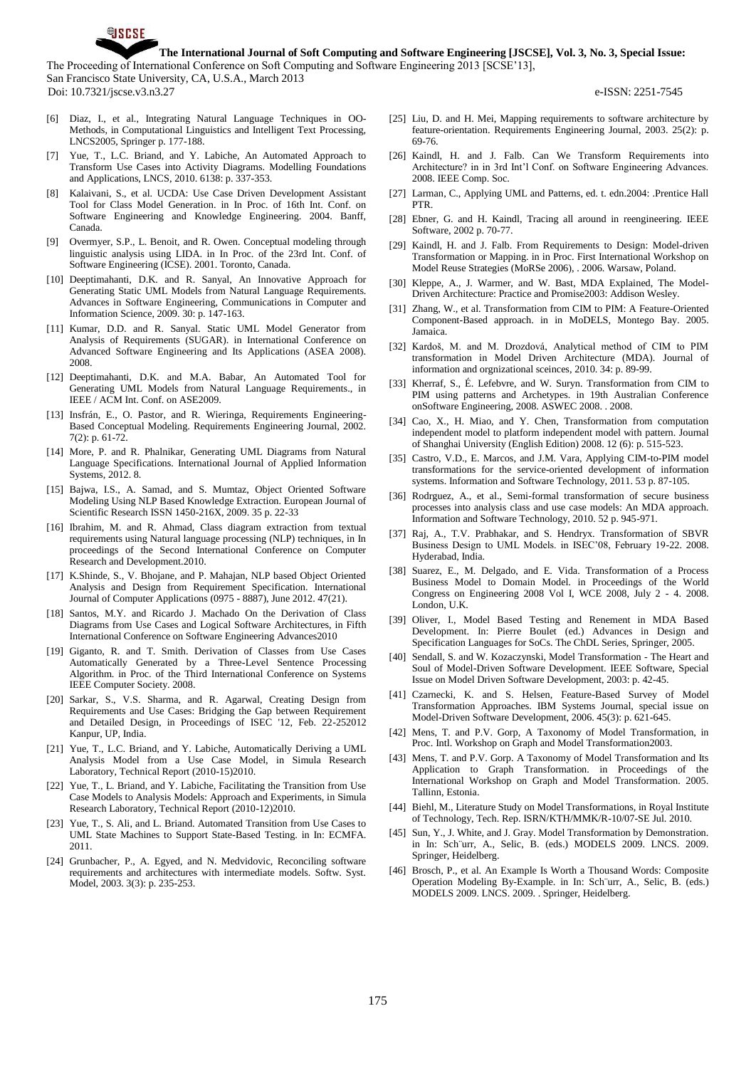The Proceeding of International Conference on Soft Computing and Software Engineering 2013 [SCSE'13], San Francisco State University, CA, U.S.A., March 2013

Doi: 10.7321/jscse.v3.n3.27 e-ISSN: 2251-7545

**QISCSE** 

- [6] Diaz, I., et al., Integrating Natural Language Techniques in OO-Methods, in Computational Linguistics and Intelligent Text Processing, LNCS2005, Springer p. 177-188.
- [7] Yue, T., L.C. Briand, and Y. Labiche, An Automated Approach to Transform Use Cases into Activity Diagrams. Modelling Foundations and Applications, LNCS, 2010. 6138: p. 337-353.
- [8] Kalaivani, S., et al. UCDA: Use Case Driven Development Assistant Tool for Class Model Generation. in In Proc. of 16th Int. Conf. on Software Engineering and Knowledge Engineering. 2004. Banff, Canada.
- [9] Overmyer, S.P., L. Benoit, and R. Owen. Conceptual modeling through linguistic analysis using LIDA. in In Proc. of the 23rd Int. Conf. of Software Engineering (ICSE). 2001. Toronto, Canada.
- [10] Deeptimahanti, D.K. and R. Sanyal, An Innovative Approach for Generating Static UML Models from Natural Language Requirements. Advances in Software Engineering, Communications in Computer and Information Science, 2009. 30: p. 147-163.
- [11] Kumar, D.D. and R. Sanyal. Static UML Model Generator from Analysis of Requirements (SUGAR). in International Conference on Advanced Software Engineering and Its Applications (ASEA 2008). 2008.
- [12] Deeptimahanti, D.K. and M.A. Babar, An Automated Tool for Generating UML Models from Natural Language Requirements., in IEEE / ACM Int. Conf. on ASE2009.
- [13] Insfrán, E., O. Pastor, and R. Wieringa, Requirements Engineering-Based Conceptual Modeling. Requirements Engineering Journal, 2002. 7(2): p. 61-72.
- [14] More, P. and R. Phalnikar, Generating UML Diagrams from Natural Language Specifications. International Journal of Applied Information Systems, 2012. 8.
- [15] Bajwa, I.S., A. Samad, and S. Mumtaz, Object Oriented Software Modeling Using NLP Based Knowledge Extraction. European Journal of Scientific Research ISSN 1450-216X, 2009. 35 p. 22-33
- [16] Ibrahim, M. and R. Ahmad, Class diagram extraction from textual requirements using Natural language processing (NLP) techniques, in In proceedings of the Second International Conference on Computer Research and Development.2010.
- [17] K.Shinde, S., V. Bhojane, and P. Mahajan, NLP based Object Oriented Analysis and Design from Requirement Specification. International Journal of Computer Applications (0975 - 8887), June 2012. 47(21).
- <span id="page-6-0"></span>[18] Santos, M.Y. and Ricardo J. Machado On the Derivation of Class Diagrams from Use Cases and Logical Software Architectures, in Fifth International Conference on Software Engineering Advances2010
- [19] Giganto, R. and T. Smith. Derivation of Classes from Use Cases Automatically Generated by a Three-Level Sentence Processing Algorithm. in Proc. of the Third International Conference on Systems IEEE Computer Society. 2008.
- [20] Sarkar, S., V.S. Sharma, and R. Agarwal, Creating Design from Requirements and Use Cases: Bridging the Gap between Requirement and Detailed Design, in Proceedings of ISEC '12, Feb. 22-252012 Kanpur, UP, India.
- <span id="page-6-1"></span>[21] Yue, T., L.C. Briand, and Y. Labiche, Automatically Deriving a UML Analysis Model from a Use Case Model, in Simula Research Laboratory, Technical Report (2010-15)2010.
- [22] Yue, T., L. Briand, and Y. Labiche, Facilitating the Transition from Use Case Models to Analysis Models: Approach and Experiments, in Simula Research Laboratory, Technical Report (2010-12)2010.
- [23] Yue, T., S. Ali, and L. Briand. Automated Transition from Use Cases to UML State Machines to Support State-Based Testing. in In: ECMFA. 2011.
- <span id="page-6-2"></span>[24] Grunbacher, P., A. Egyed, and N. Medvidovic, Reconciling software requirements and architectures with intermediate models. Softw. Syst. Model, 2003. 3(3): p. 235-253.
- <span id="page-6-3"></span>[25] Liu, D. and H. Mei, Mapping requirements to software architecture by feature-orientation. Requirements Engineering Journal, 2003. 25(2): p. 69-76.
- <span id="page-6-4"></span>[26] Kaindl, H. and J. Falb. Can We Transform Requirements into Architecture? in in 3rd Int'l Conf. on Software Engineering Advances. 2008. IEEE Comp. Soc.
- <span id="page-6-5"></span>[27] Larman, C., Applying UML and Patterns, ed. t. edn.2004: .Prentice Hall PTR.
- <span id="page-6-6"></span>[28] Ebner, G. and H. Kaindl, Tracing all around in reengineering. IEEE Software, 2002 p. 70-77.
- <span id="page-6-7"></span>[29] Kaindl, H. and J. Falb. From Requirements to Design: Model-driven Transformation or Mapping. in in Proc. First International Workshop on Model Reuse Strategies (MoRSe 2006), . 2006. Warsaw, Poland.
- <span id="page-6-8"></span>[30] Kleppe, A., J. Warmer, and W. Bast, MDA Explained, The Model-Driven Architecture: Practice and Promise2003: Addison Wesley.
- <span id="page-6-9"></span>[31] Zhang, W., et al. Transformation from CIM to PIM: A Feature-Oriented Component-Based approach. in in MoDELS, Montego Bay. 2005. Jamaica.
- <span id="page-6-10"></span>[32] Kardoš, M. and M. Drozdová, Analytical method of CIM to PIM transformation in Model Driven Architecture (MDA). Journal of information and orgnizational sceinces, 2010. 34: p. 89-99.
- <span id="page-6-11"></span>[33] Kherraf, S., É. Lefebvre, and W. Suryn. Transformation from CIM to PIM using patterns and Archetypes. in 19th Australian Conference onSoftware Engineering, 2008. ASWEC 2008. . 2008.
- <span id="page-6-12"></span>[34] Cao, X., H. Miao, and Y. Chen, Transformation from computation independent model to platform independent model with pattern. Journal of Shanghai University (English Edition) 2008. 12 (6): p. 515-523.
- <span id="page-6-13"></span>[35] Castro, V.D., E. Marcos, and J.M. Vara, Applying CIM-to-PIM model transformations for the service-oriented development of information systems. Information and Software Technology, 2011. 53 p. 87-105.
- <span id="page-6-14"></span>[36] Rodrguez, A., et al., Semi-formal transformation of secure business processes into analysis class and use case models: An MDA approach. Information and Software Technology, 2010. 52 p. 945-971.
- <span id="page-6-15"></span>[37] Raj, A., T.V. Prabhakar, and S. Hendryx. Transformation of SBVR Business Design to UML Models. in ISEC'08, February 19-22. 2008. Hyderabad, India.
- <span id="page-6-16"></span>[38] Suarez, E., M. Delgado, and E. Vida. Transformation of a Process Business Model to Domain Model. in Proceedings of the World Congress on Engineering 2008 Vol I, WCE 2008, July 2 - 4. 2008. London, U.K.
- <span id="page-6-17"></span>[39] Oliver, I., Model Based Testing and Renement in MDA Based Development. In: Pierre Boulet (ed.) Advances in Design and Specification Languages for SoCs. The ChDL Series, Springer, 2005.
- <span id="page-6-18"></span>[40] Sendall, S. and W. Kozaczynski, Model Transformation - The Heart and Soul of Model-Driven Software Development. IEEE Software, Special Issue on Model Driven Software Development, 2003: p. 42-45.
- <span id="page-6-19"></span>[41] Czarnecki, K. and S. Helsen, Feature-Based Survey of Model Transformation Approaches. IBM Systems Journal, special issue on Model-Driven Software Development, 2006. 45(3): p. 621-645.
- <span id="page-6-20"></span>[42] Mens, T. and P.V. Gorp, A Taxonomy of Model Transformation, in Proc. Intl. Workshop on Graph and Model Transformation2003.
- [43] Mens, T. and P.V. Gorp. A Taxonomy of Model Transformation and Its Application to Graph Transformation. in Proceedings of the International Workshop on Graph and Model Transformation. 2005. Tallinn, Estonia.
- [44] Biehl, M., Literature Study on Model Transformations, in Royal Institute of Technology, Tech. Rep. ISRN/KTH/MMK/R-10/07-SE Jul. 2010.
- <span id="page-6-21"></span>[45] Sun, Y., J. White, and J. Gray. Model Transformation by Demonstration. in In: Sch¨urr, A., Selic, B. (eds.) MODELS 2009. LNCS. 2009. Springer, Heidelberg.
- <span id="page-6-22"></span>[46] Brosch, P., et al. An Example Is Worth a Thousand Words: Composite Operation Modeling By-Example. in In: Sch¨urr, A., Selic, B. (eds.) MODELS 2009. LNCS. 2009. . Springer, Heidelberg.